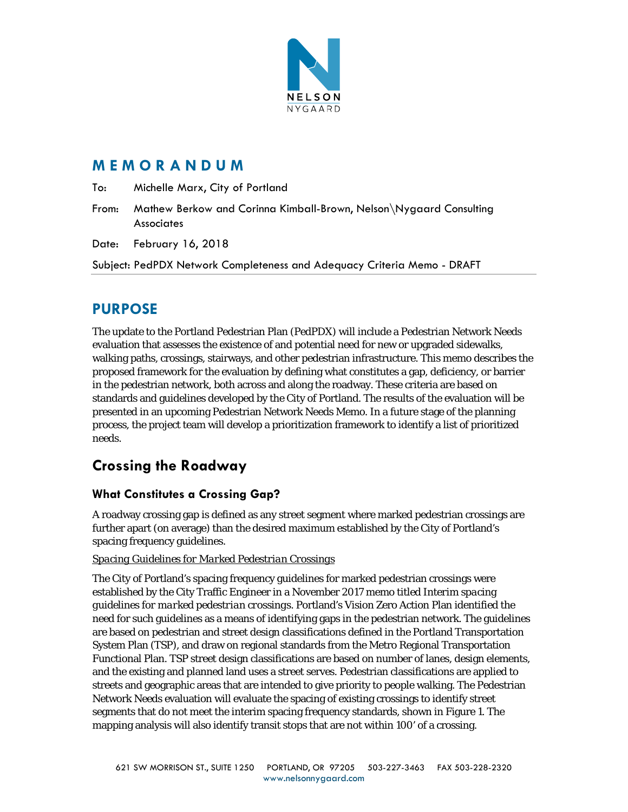

# **M E M O R A N D U M**

To: Michelle Marx, City of Portland

From: Mathew Berkow and Corinna Kimball-Brown, Nelson\Nygaard Consulting **Associates** 

Date: February 16, 2018

Subject: PedPDX Network Completeness and Adequacy Criteria Memo - DRAFT

# **PURPOSE**

The update to the Portland Pedestrian Plan (PedPDX) will include a Pedestrian Network Needs evaluation that assesses the existence of and potential need for new or upgraded sidewalks, walking paths, crossings, stairways, and other pedestrian infrastructure. This memo describes the proposed framework for the evaluation by defining what constitutes a gap, deficiency, or barrier in the pedestrian network, both across and along the roadway. These criteria are based on standards and guidelines developed by the City of Portland. The results of the evaluation will be presented in an upcoming Pedestrian Network Needs Memo. In a future stage of the planning process, the project team will develop a prioritization framework to identify a list of prioritized needs.

# **Crossing the Roadway**

## **What Constitutes a Crossing Gap?**

A roadway crossing gap is defined as any street segment where marked pedestrian crossings are further apart (on average) than the desired maximum established by the City of Portland's spacing frequency guidelines.

### *Spacing Guidelines for Marked Pedestrian Crossings*

The City of Portland's spacing frequency guidelines for marked pedestrian crossings were established by the City Traffic Engineer in a November 2017 memo titled *Interim spacing guidelines for marked pedestrian crossings*. Portland's Vision Zero Action Plan identified the need for such guidelines as a means of identifying gaps in the pedestrian network. The guidelines are based on pedestrian and street design classifications defined in the Portland Transportation System Plan (TSP), and draw on regional standards from the Metro Regional Transportation Functional Plan. TSP street design classifications are based on number of lanes, design elements, and the existing and planned land uses a street serves. Pedestrian classifications are applied to streets and geographic areas that are intended to give priority to people walking. The Pedestrian Network Needs evaluation will evaluate the spacing of existing crossings to identify street segments that do not meet the interim spacing frequency standards, shown in Figure 1. The mapping analysis will also identify transit stops that are not within 100' of a crossing.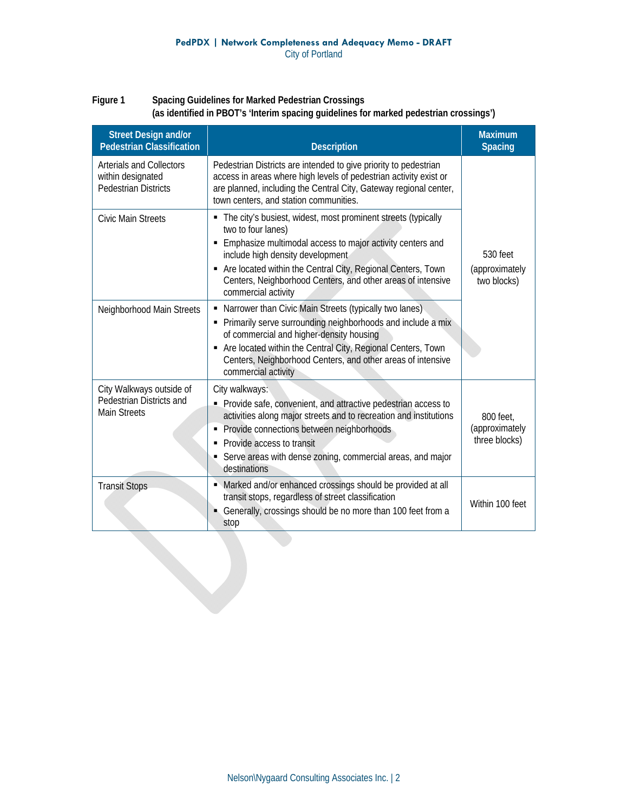### **Figure 1 Spacing Guidelines for Marked Pedestrian Crossings (as identified in PBOT's 'Interim spacing guidelines for marked pedestrian crossings')**

| <b>Street Design and/or</b><br><b>Pedestrian Classification</b>              | <b>Description</b>                                                                                                                                                                                                                                                                                                                          | <b>Maximum</b><br><b>Spacing</b>             |
|------------------------------------------------------------------------------|---------------------------------------------------------------------------------------------------------------------------------------------------------------------------------------------------------------------------------------------------------------------------------------------------------------------------------------------|----------------------------------------------|
| Arterials and Collectors<br>within designated<br><b>Pedestrian Districts</b> | Pedestrian Districts are intended to give priority to pedestrian<br>access in areas where high levels of pedestrian activity exist or<br>are planned, including the Central City, Gateway regional center,<br>town centers, and station communities.                                                                                        |                                              |
| <b>Civic Main Streets</b>                                                    | • The city's busiest, widest, most prominent streets (typically<br>two to four lanes)<br>Emphasize multimodal access to major activity centers and<br>include high density development<br>Are located within the Central City, Regional Centers, Town<br>Centers, Neighborhood Centers, and other areas of intensive<br>commercial activity | 530 feet<br>(approximately<br>two blocks)    |
| Neighborhood Main Streets                                                    | • Narrower than Civic Main Streets (typically two lanes)<br>• Primarily serve surrounding neighborhoods and include a mix<br>of commercial and higher-density housing<br>Are located within the Central City, Regional Centers, Town<br>Centers, Neighborhood Centers, and other areas of intensive<br>commercial activity                  |                                              |
| City Walkways outside of<br>Pedestrian Districts and<br><b>Main Streets</b>  | City walkways:<br>Provide safe, convenient, and attractive pedestrian access to<br>activities along major streets and to recreation and institutions<br>Provide connections between neighborhoods<br>٠<br>Provide access to transit<br>Serve areas with dense zoning, commercial areas, and major<br>destinations                           | 800 feet,<br>(approximately<br>three blocks) |
| <b>Transit Stops</b>                                                         | • Marked and/or enhanced crossings should be provided at all<br>transit stops, regardless of street classification<br>Generally, crossings should be no more than 100 feet from a<br>stop                                                                                                                                                   | Within 100 feet                              |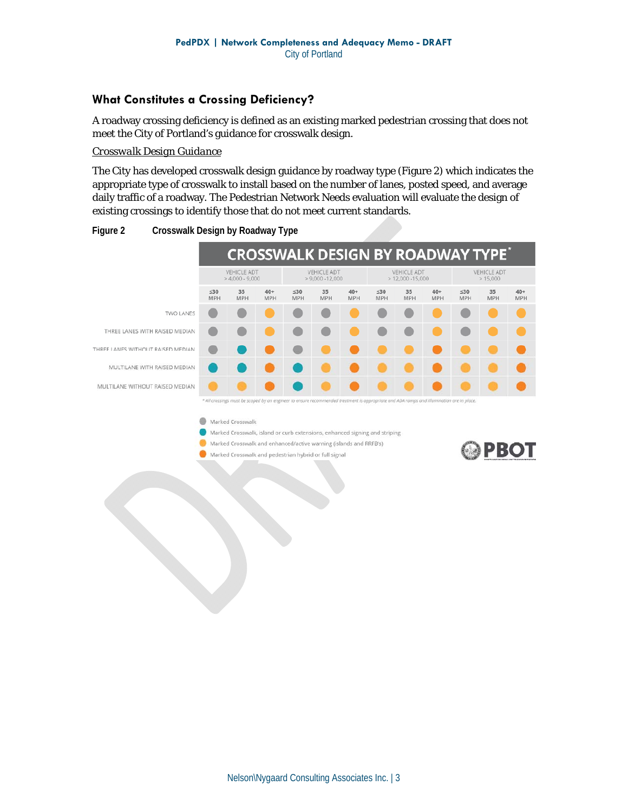### **What Constitutes a Crossing Deficiency?**

A roadway crossing deficiency is defined as an existing marked pedestrian crossing that does not meet the City of Portland's guidance for crosswalk design.

#### *Crosswalk Design Guidance*

The City has developed crosswalk design guidance by roadway type (Figure 2) which indicates the appropriate type of crosswalk to install based on the number of lanes, posted speed, and average daily traffic of a roadway. The Pedestrian Network Needs evaluation will evaluate the design of existing crossings to identify those that do not meet current standards.





#### Marked Crosswalk

- Marked Crosswalk, island or curb extensions, enhanced signing and striping
- Marked Crosswalk and enhanced/active warning (islands and RRFB's)
- Marked Crosswalk and pedestrian hybrid or full signal

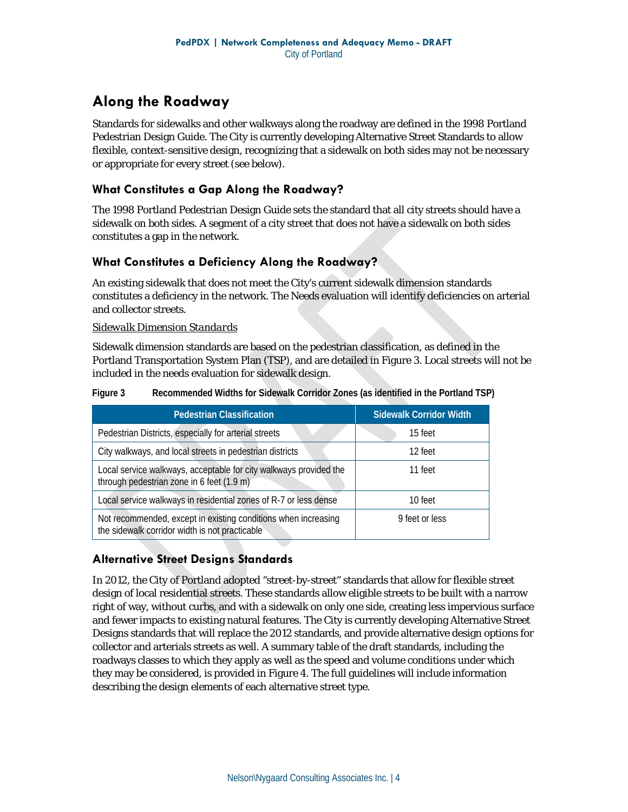# **Along the Roadway**

Standards for sidewalks and other walkways along the roadway are defined in the 1998 Portland Pedestrian Design Guide. The City is currently developing Alternative Street Standards to allow flexible, context-sensitive design, recognizing that a sidewalk on both sides may not be necessary or appropriate for every street (see below).

### **What Constitutes a Gap Along the Roadway?**

The 1998 Portland Pedestrian Design Guide sets the standard that all city streets should have a sidewalk on both sides. A segment of a city street that does not have a sidewalk on both sides constitutes a gap in the network.

### **What Constitutes a Deficiency Along the Roadway?**

An existing sidewalk that does not meet the City's current sidewalk dimension standards constitutes a deficiency in the network. The Needs evaluation will identify deficiencies on arterial and collector streets.

#### *Sidewalk Dimension Standards*

Sidewalk dimension standards are based on the pedestrian classification, as defined in the Portland Transportation System Plan (TSP), and are detailed in Figure 3. Local streets will not be included in the needs evaluation for sidewalk design.

| <b>Pedestrian Classification</b>                                                                                 | <b>Sidewalk Corridor Width</b> |  |  |
|------------------------------------------------------------------------------------------------------------------|--------------------------------|--|--|
| Pedestrian Districts, especially for arterial streets                                                            | 15 feet                        |  |  |
| City walkways, and local streets in pedestrian districts                                                         | 12 feet                        |  |  |
| Local service walkways, acceptable for city walkways provided the<br>through pedestrian zone in 6 feet (1.9 m)   | 11 feet                        |  |  |
| Local service walkways in residential zones of R-7 or less dense                                                 | 10 feet                        |  |  |
| Not recommended, except in existing conditions when increasing<br>the sidewalk corridor width is not practicable | 9 feet or less                 |  |  |

**Figure 3 Recommended Widths for Sidewalk Corridor Zones (as identified in the Portland TSP)** 

### **Alternative Street Designs Standards**

In 2012, the City of Portland adopted "street-by-street" standards that allow for flexible street design of local residential streets. These standards allow eligible streets to be built with a narrow right of way, without curbs, and with a sidewalk on only one side, creating less impervious surface and fewer impacts to existing natural features. The City is currently developing Alternative Street Designs standards that will replace the 2012 standards, and provide alternative design options for collector and arterials streets as well. A summary table of the draft standards, including the roadways classes to which they apply as well as the speed and volume conditions under which they may be considered, is provided in Figure 4. The full guidelines will include information describing the design elements of each alternative street type.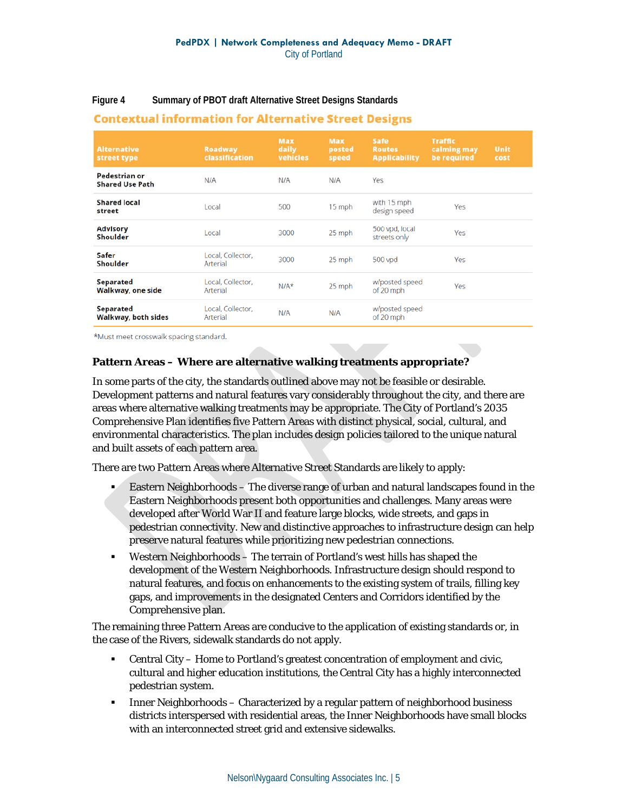**Figure 4 Summary of PBOT draft Alternative Street Designs Standards** 

| <b>Alternative</b><br>street type       | <b>Roadway</b><br>classification | Max<br>daily<br>vehicles | Max<br>posted<br>speed | Safe<br><b>Routes</b><br><b>Applicability</b> | <b>Traffic</b><br>calming may<br>be required | Unit<br>cost |
|-----------------------------------------|----------------------------------|--------------------------|------------------------|-----------------------------------------------|----------------------------------------------|--------------|
| Pedestrian or<br><b>Shared Use Path</b> | N/A                              | N/A                      | N/A                    | Yes                                           |                                              |              |
| <b>Shared local</b><br>street           | Local                            | 500                      | 15 mph                 | with 15 mph<br>design speed                   | Yes                                          |              |
| <b>Advisory</b><br>Shoulder             | Local                            | 3000                     | 25 mph                 | 500 vpd, local<br>streets only                | Yes                                          |              |
| Safer<br>Shoulder                       | Local, Collector,<br>Arterial    | 3000                     | 25 mph                 | 500 vpd                                       | Yes                                          |              |
| Separated<br>Walkway, one side          | Local, Collector,<br>Arterial    | $N/A*$                   | 25 mph                 | w/posted speed<br>of 20 mph                   | Yes                                          |              |
| Separated<br>Walkway, both sides        | Local, Collector,<br>Arterial    | N/A                      | N/A                    | w/posted speed<br>of 20 mph                   |                                              |              |

### **Contextual information for Alternative Street Designs**

\*Must meet crosswalk spacing standard.

#### **Pattern Areas – Where are alternative walking treatments appropriate?**

In some parts of the city, the standards outlined above may not be feasible or desirable. Development patterns and natural features vary considerably throughout the city, and there are areas where alternative walking treatments may be appropriate. The City of Portland's 2035 Comprehensive Plan identifies five Pattern Areas with distinct physical, social, cultural, and environmental characteristics. The plan includes design policies tailored to the unique natural and built assets of each pattern area.

There are two Pattern Areas where Alternative Street Standards are likely to apply:

- Eastern Neighborhoods The diverse range of urban and natural landscapes found in the Eastern Neighborhoods present both opportunities and challenges. Many areas were developed after World War II and feature large blocks, wide streets, and gaps in pedestrian connectivity. New and distinctive approaches to infrastructure design can help preserve natural features while prioritizing new pedestrian connections.
- Western Neighborhoods The terrain of Portland's west hills has shaped the development of the Western Neighborhoods. Infrastructure design should respond to natural features, and focus on enhancements to the existing system of trails, filling key gaps, and improvements in the designated Centers and Corridors identified by the Comprehensive plan.

The remaining three Pattern Areas are conducive to the application of existing standards or, in the case of the Rivers, sidewalk standards do not apply.

- Central City Home to Portland's greatest concentration of employment and civic, cultural and higher education institutions, the Central City has a highly interconnected pedestrian system.
- **IFFEL 1** Inner Neighborhoods Characterized by a regular pattern of neighborhood business districts interspersed with residential areas, the Inner Neighborhoods have small blocks with an interconnected street grid and extensive sidewalks.